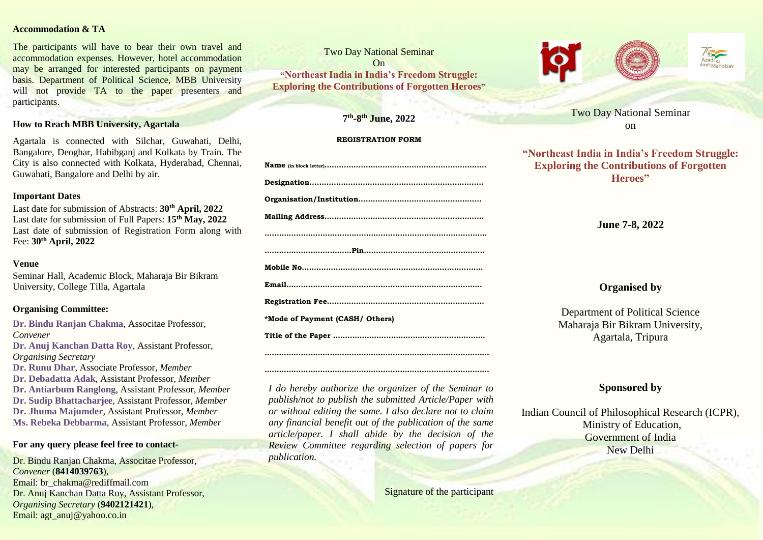### **Accommodation & TA**

The participants will have to bear their own travel and accommodation expenses. However, hotel accommodation may be arranged for interested participants on payment basis. Department of Political Science, MBB University will not provide TA to the paper presenters and participants.

## **How to Reach MBB University, Agartala**

Agartala is connected with Silchar, Guwahati, Delhi, Bangalore, Deoghar, Habibganj and Kolkata by Train. The City is also connected with Kolkata, Hyderabad, Chennai, Guwahati, Bangalore and Delhi by air.

### **Important Dates**

Last date for submission of Abstracts: **30th April, 2022** Last date for submission of Full Papers: **15th May, 2022** Last date of submission of Registration Form along with Fee: **30th April, 2022**

## **Venue**

Seminar Hall, Academic Block, Maharaja Bir Bikram University, College Tilla, Agartala

## **Organising Committee:**

**Dr. Bindu Ranjan Chakma**, Associtae Professor, *Convener* **Dr. Anuj Kanchan Datta Roy**, Assistant Professor, *Organising Secretary* **Dr. Runu Dhar**, Associate Professor, *Member* **Dr. Debadatta Adak**, Assistant Professor, *Member* **Dr. Antiarbum Ranglong**, Assistant Professor, *Member* **Dr. Sudip Bhattacharjee**, Assistant Professor, *Member* **Dr. Jhuma Majumder**, Assistant Professor, *Member* **Ms. Rebeka Debbarma**, Assistant Professor, *Member*

# **For any query please feel free to contact-**

Dr. Bindu Ranjan Chakma, Associtae Professor, *Convener* (**8414039763**), Email: br\_chakma@rediffmail.com Dr. Anuj Kanchan Datta Roy, Assistant Professor, *Organising Secretary* (**9402121421**), Email: agt\_anuj@yahoo.co.in

Two Day National Seminar On **"Northeast India in India's Freedom Struggle: Exploring the Contributions of Forgotten Heroes"**

## **7 th -8 th June, 2022**

### **REGISTRATION FORM**

| *Mode of Payment (CASH/ Others) |
|---------------------------------|

**…………………………………………………………………………………** *I do hereby authorize the organizer of the Seminar to publish/not to publish the submitted Article/Paper with or without editing the same. I also declare not to claim any financial benefit out of the publication of the same article/paper. I shall abide by the decision of the Review Committee regarding selection of papers for* 

*publication.*

**…………………………………………………………………………………**

**Title of the Paper ………………………………………………………**

Signature of the participant





**"Northeast India in India's Freedom Struggle: Exploring the Contributions of Forgotten Heroes"**

**June 7-8, 2022**

# **Organised by**

Department of Political Science Maharaja Bir Bikram University, Agartala, Tripura

# **Sponsored by**

Indian Council of Philosophical Research (ICPR), Ministry of Education, Government of India New Delhi